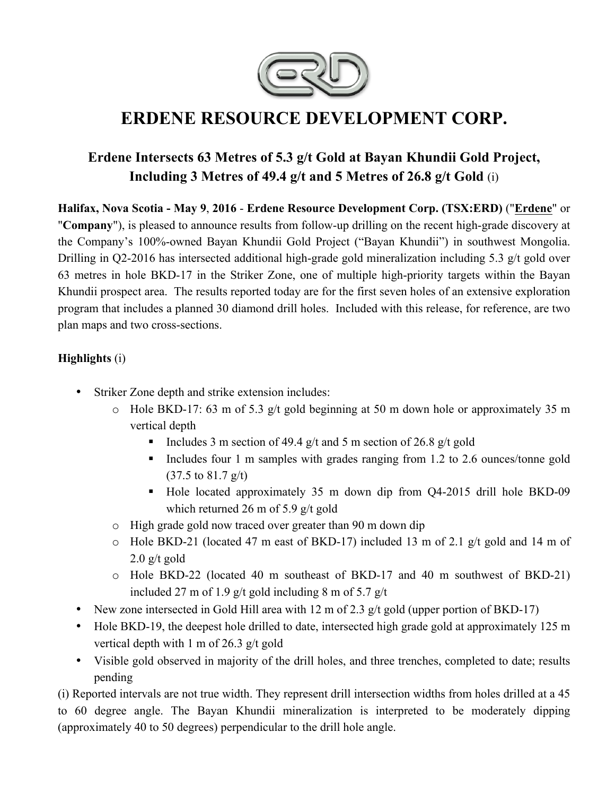

# **ERDENE RESOURCE DEVELOPMENT CORP.**

## **Erdene Intersects 63 Metres of 5.3 g/t Gold at Bayan Khundii Gold Project, Including 3 Metres of 49.4 g/t and 5 Metres of 26.8 g/t Gold** (i)

**Halifax, Nova Scotia - May 9**, **2016** - **Erdene Resource Development Corp. (TSX:ERD)** ("**Erdene**" or "**Company**"), is pleased to announce results from follow-up drilling on the recent high-grade discovery at the Company's 100%-owned Bayan Khundii Gold Project ("Bayan Khundii") in southwest Mongolia. Drilling in Q2-2016 has intersected additional high-grade gold mineralization including 5.3 g/t gold over 63 metres in hole BKD-17 in the Striker Zone, one of multiple high-priority targets within the Bayan Khundii prospect area. The results reported today are for the first seven holes of an extensive exploration program that includes a planned 30 diamond drill holes. Included with this release, for reference, are two plan maps and two cross-sections.

#### **Highlights** (i)

- Striker Zone depth and strike extension includes:
	- o Hole BKD-17: 63 m of 5.3 g/t gold beginning at 50 m down hole or approximately 35 m vertical depth
		- Includes 3 m section of 49.4 g/t and 5 m section of 26.8 g/t gold
		- ! Includes four 1 m samples with grades ranging from 1.2 to 2.6 ounces/tonne gold (37.5 to 81.7 g/t)
		- ! Hole located approximately 35 m down dip from Q4-2015 drill hole BKD-09 which returned 26 m of 5.9 g/t gold
	- o High grade gold now traced over greater than 90 m down dip
	- o Hole BKD-21 (located 47 m east of BKD-17) included 13 m of 2.1 g/t gold and 14 m of  $2.0$  g/t gold
	- o Hole BKD-22 (located 40 m southeast of BKD-17 and 40 m southwest of BKD-21) included 27 m of 1.9 g/t gold including 8 m of 5.7 g/t
- New zone intersected in Gold Hill area with 12 m of 2.3 g/t gold (upper portion of BKD-17)
- Hole BKD-19, the deepest hole drilled to date, intersected high grade gold at approximately 125 m vertical depth with 1 m of 26.3 g/t gold
- Visible gold observed in majority of the drill holes, and three trenches, completed to date; results pending

(i) Reported intervals are not true width. They represent drill intersection widths from holes drilled at a 45 to 60 degree angle. The Bayan Khundii mineralization is interpreted to be moderately dipping (approximately 40 to 50 degrees) perpendicular to the drill hole angle.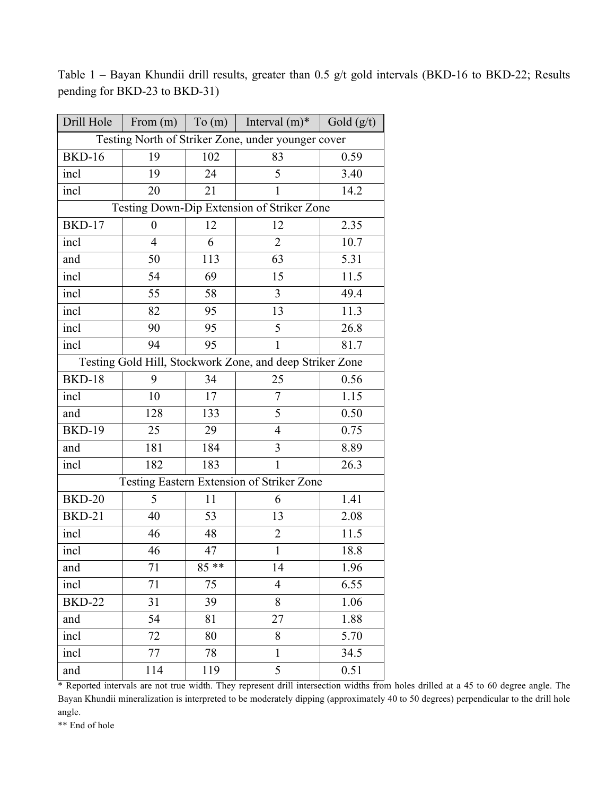| Drill Hole                                               | From $(m)$ To $(m)$ |        | Interval $(m)^*$ | Gold $(g/t)$ |
|----------------------------------------------------------|---------------------|--------|------------------|--------------|
| Testing North of Striker Zone, under younger cover       |                     |        |                  |              |
| <b>BKD-16</b>                                            | 19                  | 102    | 83               | 0.59         |
| incl                                                     | 19                  | 24     | 5                | 3.40         |
| incl                                                     | 20                  | 21     | $\mathbf{1}$     | 14.2         |
| Testing Down-Dip Extension of Striker Zone               |                     |        |                  |              |
| <b>BKD-17</b>                                            | $\boldsymbol{0}$    | 12     | 12               | 2.35         |
| incl                                                     | 4                   | 6      | $\overline{2}$   | 10.7         |
| and                                                      | 50                  | 113    | 63               | 5.31         |
| incl                                                     | 54                  | 69     | 15               | 11.5         |
| incl                                                     | 55                  | 58     | 3                | 49.4         |
| incl                                                     | 82                  | 95     | 13               | 11.3         |
| incl                                                     | 90                  | 95     | 5                | 26.8         |
| incl                                                     | 94                  | 95     | 1                | 81.7         |
| Testing Gold Hill, Stockwork Zone, and deep Striker Zone |                     |        |                  |              |
| <b>BKD-18</b>                                            | 9                   | 34     | 25               | 0.56         |
| incl                                                     | 10                  | 17     | $\overline{7}$   | 1.15         |
| and                                                      | 128                 | 133    | 5                | 0.50         |
| <b>BKD-19</b>                                            | 25                  | 29     | $\overline{4}$   | 0.75         |
| and                                                      | 181                 | 184    | 3                | 8.89         |
| incl                                                     | 182                 | 183    | $\mathbf{1}$     | 26.3         |
| Testing Eastern Extension of Striker Zone                |                     |        |                  |              |
| <b>BKD-20</b>                                            | 5                   | 11     | 6                | 1.41         |
| <b>BKD-21</b>                                            | 40                  | 53     | 13               | 2.08         |
| incl                                                     | 46                  | 48     | $\overline{2}$   | 11.5         |
| incl                                                     | 46                  | 47     | $\mathbf{1}$     | 18.8         |
| and                                                      | 71                  | $85**$ | 14               | 1.96         |
| incl                                                     | 71                  | 75     | $\overline{4}$   | 6.55         |
| <b>BKD-22</b>                                            | 31                  | 39     | 8                | 1.06         |
| and                                                      | 54                  | 81     | 27               | 1.88         |
| incl                                                     | 72                  | 80     | 8                | 5.70         |
| incl                                                     | 77                  | 78     | $\mathbf{1}$     | 34.5         |
| and                                                      | 114                 | 119    | 5                | 0.51         |

Table 1 – Bayan Khundii drill results, greater than 0.5 g/t gold intervals (BKD-16 to BKD-22; Results pending for BKD-23 to BKD-31)

\* Reported intervals are not true width. They represent drill intersection widths from holes drilled at a 45 to 60 degree angle. The Bayan Khundii mineralization is interpreted to be moderately dipping (approximately 40 to 50 degrees) perpendicular to the drill hole angle.

\*\* End of hole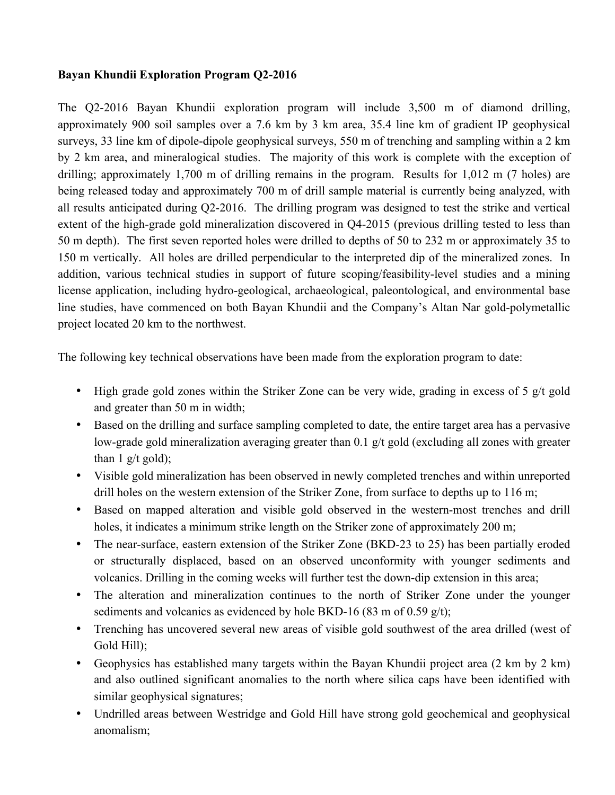#### **Bayan Khundii Exploration Program Q2-2016**

The Q2-2016 Bayan Khundii exploration program will include 3,500 m of diamond drilling, approximately 900 soil samples over a 7.6 km by 3 km area, 35.4 line km of gradient IP geophysical surveys, 33 line km of dipole-dipole geophysical surveys, 550 m of trenching and sampling within a 2 km by 2 km area, and mineralogical studies. The majority of this work is complete with the exception of drilling; approximately 1,700 m of drilling remains in the program. Results for 1,012 m (7 holes) are being released today and approximately 700 m of drill sample material is currently being analyzed, with all results anticipated during Q2-2016. The drilling program was designed to test the strike and vertical extent of the high-grade gold mineralization discovered in Q4-2015 (previous drilling tested to less than 50 m depth). The first seven reported holes were drilled to depths of 50 to 232 m or approximately 35 to 150 m vertically. All holes are drilled perpendicular to the interpreted dip of the mineralized zones. In addition, various technical studies in support of future scoping/feasibility-level studies and a mining license application, including hydro-geological, archaeological, paleontological, and environmental base line studies, have commenced on both Bayan Khundii and the Company's Altan Nar gold-polymetallic project located 20 km to the northwest.

The following key technical observations have been made from the exploration program to date:

- High grade gold zones within the Striker Zone can be very wide, grading in excess of 5 g/t gold and greater than 50 m in width;
- Based on the drilling and surface sampling completed to date, the entire target area has a pervasive low-grade gold mineralization averaging greater than 0.1 g/t gold (excluding all zones with greater than  $1 \frac{g}{t}$  gold);
- Visible gold mineralization has been observed in newly completed trenches and within unreported drill holes on the western extension of the Striker Zone, from surface to depths up to 116 m;
- Based on mapped alteration and visible gold observed in the western-most trenches and drill holes, it indicates a minimum strike length on the Striker zone of approximately 200 m;
- The near-surface, eastern extension of the Striker Zone (BKD-23 to 25) has been partially eroded or structurally displaced, based on an observed unconformity with younger sediments and volcanics. Drilling in the coming weeks will further test the down-dip extension in this area;
- The alteration and mineralization continues to the north of Striker Zone under the younger sediments and volcanics as evidenced by hole BKD-16 (83 m of 0.59 g/t);
- Trenching has uncovered several new areas of visible gold southwest of the area drilled (west of Gold Hill);
- Geophysics has established many targets within the Bayan Khundii project area (2 km by 2 km) and also outlined significant anomalies to the north where silica caps have been identified with similar geophysical signatures;
- Undrilled areas between Westridge and Gold Hill have strong gold geochemical and geophysical anomalism;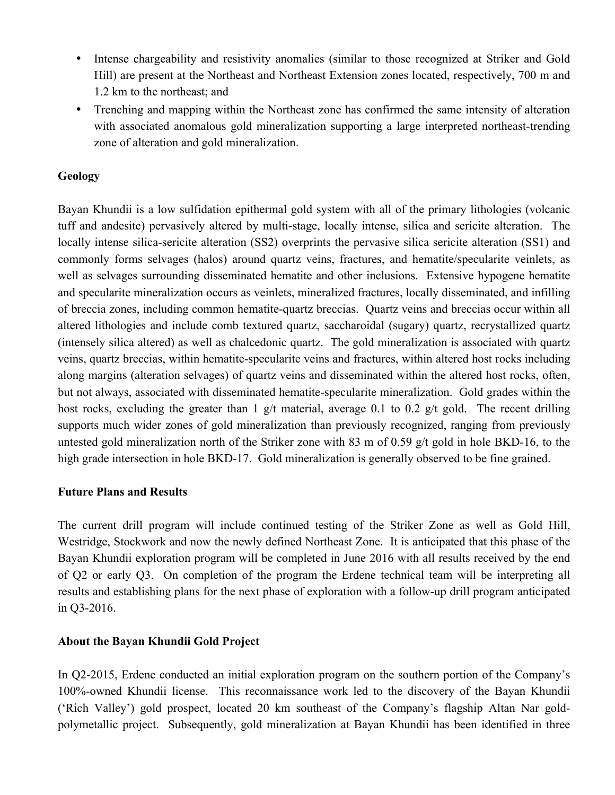- Intense chargeability and resistivity anomalies (similar to those recognized at Striker and Gold Hill) are present at the Northeast and Northeast Extension zones located, respectively, 700 m and 1.2 km to the northeast; and
- Trenching and mapping within the Northeast zone has confirmed the same intensity of alteration with associated anomalous gold mineralization supporting a large interpreted northeast-trending zone of alteration and gold mineralization.

#### **Geology**

Bayan Khundii is a low sulfidation epithermal gold system with all of the primary lithologies (volcanic tuff and andesite) pervasively altered by multi-stage, locally intense, silica and sericite alteration. The locally intense silica-sericite alteration (SS2) overprints the pervasive silica sericite alteration (SS1) and commonly forms selvages (halos) around quartz veins, fractures, and hematite/specularite veinlets, as well as selvages surrounding disseminated hematite and other inclusions. Extensive hypogene hematite and specularite mineralization occurs as veinlets, mineralized fractures, locally disseminated, and infilling of breccia zones, including common hematite-quartz breccias. Quartz veins and breccias occur within all altered lithologies and include comb textured quartz, saccharoidal (sugary) quartz, recrystallized quartz (intensely silica altered) as well as chalcedonic quartz. The gold mineralization is associated with quartz veins, quartz breccias, within hematite-specularite veins and fractures, within altered host rocks including along margins (alteration selvages) of quartz veins and disseminated within the altered host rocks, often, but not always, associated with disseminated hematite-specularite mineralization. Gold grades within the host rocks, excluding the greater than 1 g/t material, average 0.1 to 0.2 g/t gold. The recent drilling supports much wider zones of gold mineralization than previously recognized, ranging from previously untested gold mineralization north of the Striker zone with 83 m of 0.59 g/t gold in hole BKD-16, to the high grade intersection in hole BKD-17. Gold mineralization is generally observed to be fine grained.

#### **Future Plans and Results**

The current drill program will include continued testing of the Striker Zone as well as Gold Hill, Westridge, Stockwork and now the newly defined Northeast Zone. It is anticipated that this phase of the Bayan Khundii exploration program will be completed in June 2016 with all results received by the end of Q2 or early Q3. On completion of the program the Erdene technical team will be interpreting all results and establishing plans for the next phase of exploration with a follow-up drill program anticipated in Q3-2016.

#### **About the Bayan Khundii Gold Project**

In Q2-2015, Erdene conducted an initial exploration program on the southern portion of the Company's 100%-owned Khundii license. This reconnaissance work led to the discovery of the Bayan Khundii ('Rich Valley') gold prospect, located 20 km southeast of the Company's flagship Altan Nar goldpolymetallic project. Subsequently, gold mineralization at Bayan Khundii has been identified in three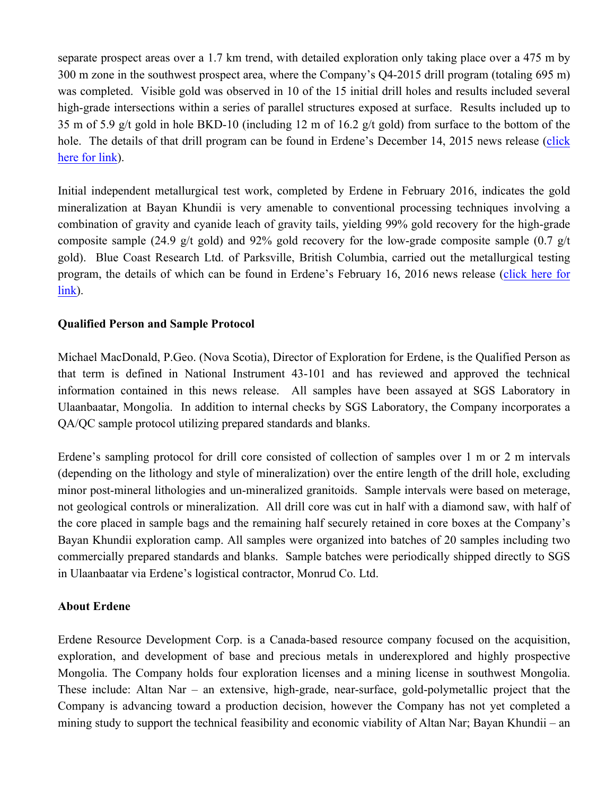separate prospect areas over a 1.7 km trend, with detailed exploration only taking place over a 475 m by 300 m zone in the southwest prospect area, where the Company's Q4-2015 drill program (totaling 695 m) was completed. Visible gold was observed in 10 of the 15 initial drill holes and results included several high-grade intersections within a series of parallel structures exposed at surface. Results included up to 35 m of 5.9 g/t gold in hole BKD-10 (including 12 m of 16.2 g/t gold) from surface to the bottom of the hole. The details of that drill program can be found in Erdene's December 14, 2015 news release (click here for link).

Initial independent metallurgical test work, completed by Erdene in February 2016, indicates the gold mineralization at Bayan Khundii is very amenable to conventional processing techniques involving a combination of gravity and cyanide leach of gravity tails, yielding 99% gold recovery for the high-grade composite sample (24.9 g/t gold) and 92% gold recovery for the low-grade composite sample (0.7 g/t) gold). Blue Coast Research Ltd. of Parksville, British Columbia, carried out the metallurgical testing program, the details of which can be found in Erdene's February 16, 2016 news release (click here for link).

#### **Qualified Person and Sample Protocol**

Michael MacDonald, P.Geo. (Nova Scotia), Director of Exploration for Erdene, is the Qualified Person as that term is defined in National Instrument 43-101 and has reviewed and approved the technical information contained in this news release. All samples have been assayed at SGS Laboratory in Ulaanbaatar, Mongolia. In addition to internal checks by SGS Laboratory, the Company incorporates a QA/QC sample protocol utilizing prepared standards and blanks.

Erdene's sampling protocol for drill core consisted of collection of samples over 1 m or 2 m intervals (depending on the lithology and style of mineralization) over the entire length of the drill hole, excluding minor post-mineral lithologies and un-mineralized granitoids. Sample intervals were based on meterage, not geological controls or mineralization. All drill core was cut in half with a diamond saw, with half of the core placed in sample bags and the remaining half securely retained in core boxes at the Company's Bayan Khundii exploration camp. All samples were organized into batches of 20 samples including two commercially prepared standards and blanks. Sample batches were periodically shipped directly to SGS in Ulaanbaatar via Erdene's logistical contractor, Monrud Co. Ltd.

#### **About Erdene**

Erdene Resource Development Corp. is a Canada-based resource company focused on the acquisition, exploration, and development of base and precious metals in underexplored and highly prospective Mongolia. The Company holds four exploration licenses and a mining license in southwest Mongolia. These include: Altan Nar – an extensive, high-grade, near-surface, gold-polymetallic project that the Company is advancing toward a production decision, however the Company has not yet completed a mining study to support the technical feasibility and economic viability of Altan Nar; Bayan Khundii – an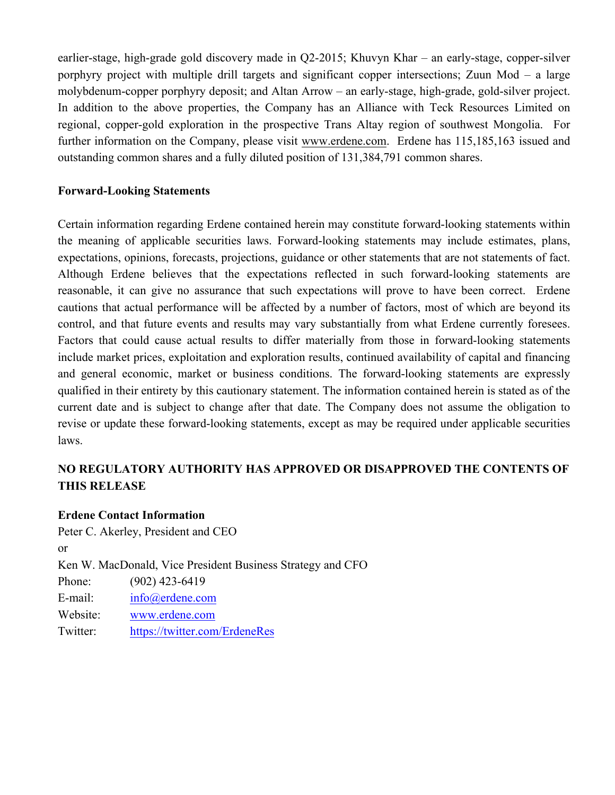earlier-stage, high-grade gold discovery made in Q2-2015; Khuvyn Khar – an early-stage, copper-silver porphyry project with multiple drill targets and significant copper intersections; Zuun Mod – a large molybdenum-copper porphyry deposit; and Altan Arrow – an early-stage, high-grade, gold-silver project. In addition to the above properties, the Company has an Alliance with Teck Resources Limited on regional, copper-gold exploration in the prospective Trans Altay region of southwest Mongolia. For further information on the Company, please visit www.erdene.com. Erdene has 115,185,163 issued and outstanding common shares and a fully diluted position of 131,384,791 common shares.

#### **Forward-Looking Statements**

Certain information regarding Erdene contained herein may constitute forward-looking statements within the meaning of applicable securities laws. Forward-looking statements may include estimates, plans, expectations, opinions, forecasts, projections, guidance or other statements that are not statements of fact. Although Erdene believes that the expectations reflected in such forward-looking statements are reasonable, it can give no assurance that such expectations will prove to have been correct. Erdene cautions that actual performance will be affected by a number of factors, most of which are beyond its control, and that future events and results may vary substantially from what Erdene currently foresees. Factors that could cause actual results to differ materially from those in forward-looking statements include market prices, exploitation and exploration results, continued availability of capital and financing and general economic, market or business conditions. The forward-looking statements are expressly qualified in their entirety by this cautionary statement. The information contained herein is stated as of the current date and is subject to change after that date. The Company does not assume the obligation to revise or update these forward-looking statements, except as may be required under applicable securities laws.

### **NO REGULATORY AUTHORITY HAS APPROVED OR DISAPPROVED THE CONTENTS OF THIS RELEASE**

#### **Erdene Contact Information**

Peter C. Akerley, President and CEO or Ken W. MacDonald, Vice President Business Strategy and CFO Phone: (902) 423-6419 E-mail: info@erdene.com Website: www.erdene.com Twitter: https://twitter.com/ErdeneRes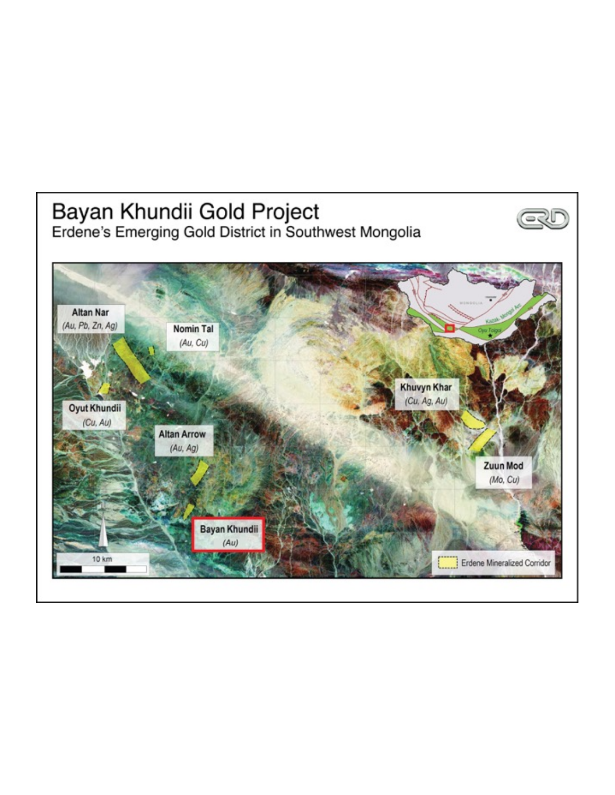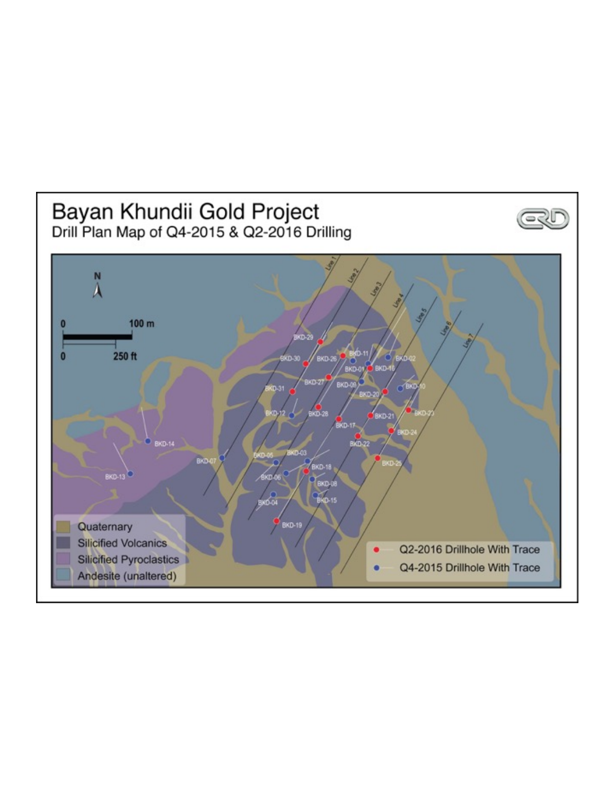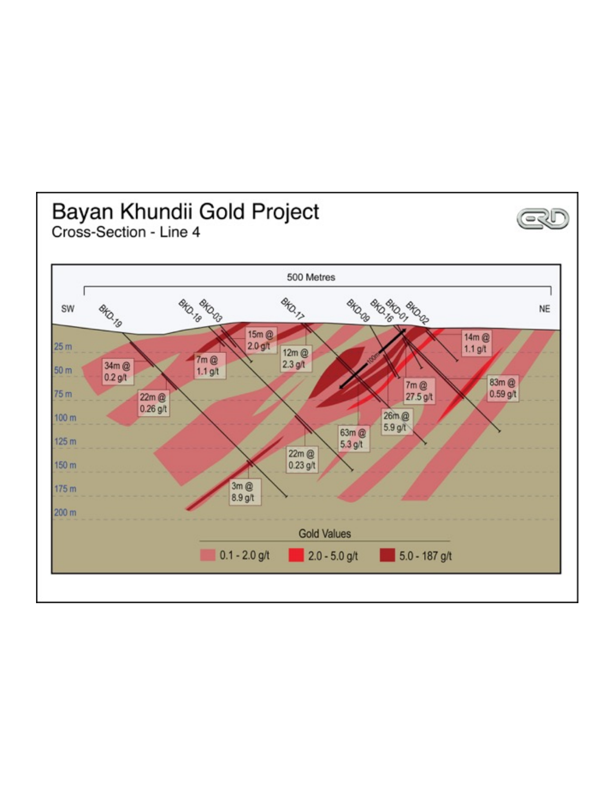